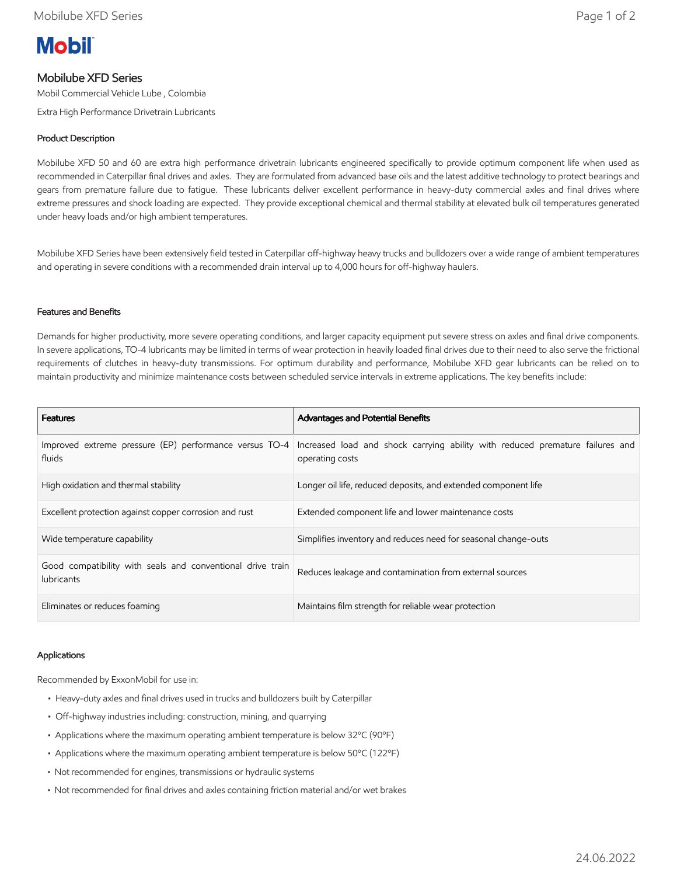

# Mobilube XFD Series

Mobil Commercial Vehicle Lube , Colombia

Extra High Performance Drivetrain Lubricants

## Product Description

Mobilube XFD 50 and 60 are extra high performance drivetrain lubricants engineered specifically to provide optimum component life when used as recommended in Caterpillar final drives and axles. They are formulated from advanced base oils and the latest additive technology to protect bearings and gears from premature failure due to fatigue. These lubricants deliver excellent performance in heavy-duty commercial axles and final drives where extreme pressures and shock loading are expected. They provide exceptional chemical and thermal stability at elevated bulk oil temperatures generated under heavy loads and/or high ambient temperatures.

Mobilube XFD Series have been extensively field tested in Caterpillar off-highway heavy trucks and bulldozers over a wide range of ambient temperatures and operating in severe conditions with a recommended drain interval up to 4,000 hours for off-highway haulers.

### Features and Benefits

Demands for higher productivity, more severe operating conditions, and larger capacity equipment put severe stress on axles and final drive components. In severe applications, TO-4 lubricants may be limited in terms of wear protection in heavily loaded final drives due to their need to also serve the frictional requirements of clutches in heavy-duty transmissions. For optimum durability and performance, Mobilube XFD gear lubricants can be relied on to maintain productivity and minimize maintenance costs between scheduled service intervals in extreme applications. The key benefits include:

| <b>Features</b>                                                                 | <b>Advantages and Potential Benefits</b>                                                         |
|---------------------------------------------------------------------------------|--------------------------------------------------------------------------------------------------|
| Improved extreme pressure (EP) performance versus TO-4<br>fluids                | Increased load and shock carrying ability with reduced premature failures and<br>operating costs |
| High oxidation and thermal stability                                            | Longer oil life, reduced deposits, and extended component life                                   |
| Excellent protection against copper corrosion and rust                          | Extended component life and lower maintenance costs                                              |
| Wide temperature capability                                                     | Simplifies inventory and reduces need for seasonal change-outs                                   |
| Good compatibility with seals and conventional drive train<br><b>lubricants</b> | Reduces leakage and contamination from external sources                                          |
| Eliminates or reduces foaming                                                   | Maintains film strength for reliable wear protection                                             |

#### Applications

Recommended by ExxonMobil for use in:

- Heavy-duty axles and final drives used in trucks and bulldozers built by Caterpillar
- Off-highway industries including: construction, mining, and quarrying
- Applications where the maximum operating ambient temperature is below 32ºC (90ºF)
- Applications where the maximum operating ambient temperature is below 50ºC (122ºF)
- Not recommended for engines, transmissions or hydraulic systems
- Not recommended for final drives and axles containing friction material and/or wet brakes